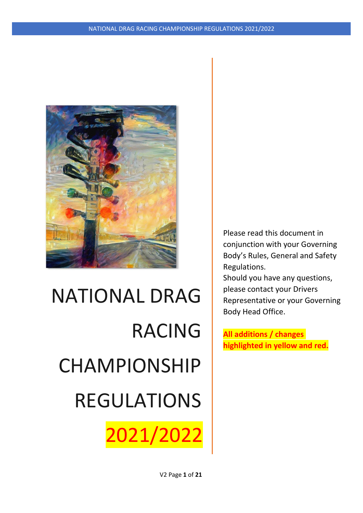

2021/2022

Please read this document in conjunction with your Governing Body's Rules, General and Safety Regulations.

Should you have any questions, please contact your Drivers Representative or your Governing Body Head Office.

**All additions / changes highlighted in yellow and red.**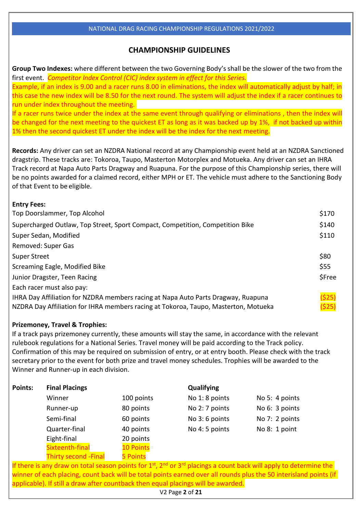# **CHAMPIONSHIP GUIDELINES**

**Group Two Indexes:** where different between the two Governing Body's shall be the slower of the two from the first event. *Competitor Index Control (CIC) index system in effect for this Series.* Example, if an index is 9.00 and a racer runs 8.00 in eliminations, the index will automatically adjust by half; in

this case the new index will be 8.50 for the next round. The system will adjust the index if a racer continues to run under index throughout the meeting.

If a racer runs twice under the index at the same event through qualifying or eliminations , then the index will be changed for the next meeting to the quickest ET as long as it was backed up by 1%, if not backed up within 1% then the second quickest ET under the index will be the index for the next meeting.

**Records:** Any driver can set an NZDRA National record at any Championship event held at an NZDRA Sanctioned dragstrip. These tracks are: Tokoroa, Taupo, Masterton Motorplex and Motueka. Any driver can set an IHRA Track record at Napa Auto Parts Dragway and Ruapuna. For the purpose of this Championship series, there will be no points awarded for a claimed record, either MPH or ET. The vehicle must adhere to the Sanctioning Body of that Event to be eligible.

| <b>Entry Fees:</b>                                                                  |        |
|-------------------------------------------------------------------------------------|--------|
| Top Doorslammer, Top Alcohol                                                        | \$170  |
| Supercharged Outlaw, Top Street, Sport Compact, Competition, Competition Bike       | \$140  |
| Super Sedan, Modified                                                               | \$110  |
| Removed: Super Gas                                                                  |        |
| <b>Super Street</b>                                                                 | \$80   |
| Screaming Eagle, Modified Bike                                                      | \$55   |
| Junior Dragster, Teen Racing                                                        | \$Free |
| Each racer must also pay:                                                           |        |
| IHRA Day Affiliation for NZDRA members racing at Napa Auto Parts Dragway, Ruapuna   | (525)  |
| NZDRA Day Affiliation for IHRA members racing at Tokoroa, Taupo, Masterton, Motueka | (525)  |

# **Prizemoney, Travel & Trophies:**

If a track pays prizemoney currently, these amounts will stay the same, in accordance with the relevant rulebook regulations for a National Series. Travel money will be paid according to the Track policy. Confirmation of this may be required on submission of entry, or at entry booth. Please check with the track secretary prior to the event for both prize and travel money schedules. Trophies will be awarded to the Winner and Runner-up in each division.

| <b>Points:</b> | <b>Final Placings</b>        |                  | <b>Qualifying</b> |                                                                                                                          |  |  |
|----------------|------------------------------|------------------|-------------------|--------------------------------------------------------------------------------------------------------------------------|--|--|
|                | Winner                       | 100 points       | No 1: 8 points    | No 5: 4 points                                                                                                           |  |  |
|                | Runner-up                    | 80 points        | No 2: 7 points    | No 6: 3 points                                                                                                           |  |  |
|                | Semi-final                   | 60 points        | No 3: 6 points    | No 7: 2 points                                                                                                           |  |  |
|                | Quarter-final                | 40 points        | No 4: 5 points    | No 8: 1 point                                                                                                            |  |  |
|                | Eight-final                  | 20 points        |                   |                                                                                                                          |  |  |
|                | Sixteenth-final              | <b>10 Points</b> |                   |                                                                                                                          |  |  |
|                | <b>Thirty second - Final</b> | <b>5 Points</b>  |                   |                                                                                                                          |  |  |
|                |                              |                  |                   | If there is any draw on total season points for $1st$ , $2nd$ or $3rd$ placings a count back will apply to determine the |  |  |

winner of each placing, count back will be total points earned over all rounds plus the 50 interisland points (if applicable). If still a draw after countback then equal placings will be awarded.

V2 Page **2** of **21**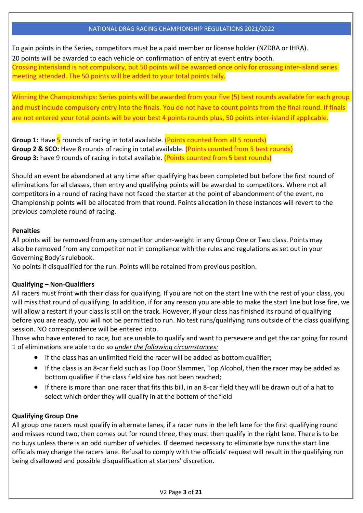To gain points in the Series, competitors must be a paid member or license holder (NZDRA or IHRA). 20 points will be awarded to each vehicle on confirmation of entry at event entry booth.

Crossing interisland is not compulsory, but 50 points will be awarded once only for crossing inter-island series meeting attended. The 50 points will be added to your total points tally.

Winning the Championships: Series points will be awarded from your five (5) best rounds available for each group and must include compulsory entry into the finals. You do not have to count points from the final round. If finals are not entered your total points will be your best 4 points rounds plus, 50 points inter-island if applicable.

**Group 1:** Have 5 rounds of racing in total available. (Points counted from all 5 rounds) **Group 2 & SCO:** Have 8 rounds of racing in total available. (Points counted from 5 best rounds) **Group 3:** have 9 rounds of racing in total available. (Points counted from 5 best rounds)

Should an event be abandoned at any time after qualifying has been completed but before the first round of eliminations for all classes, then entry and qualifying points will be awarded to competitors. Where not all competitors in a round of racing have not faced the starter at the point of abandonment of the event, no Championship points will be allocated from that round. Points allocation in these instances will revert to the previous complete round of racing.

# **Penalties**

All points will be removed from any competitor under-weight in any Group One or Two class. Points may also be removed from any competitor not in compliance with the rules and regulations as set out in your Governing Body's rulebook.

No points if disqualified for the run. Points will be retained from previous position.

# **Qualifying – Non-Qualifiers**

All racers must front with their class for qualifying. If you are not on the start line with the rest of your class, you will miss that round of qualifying. In addition, if for any reason you are able to make the start line but lose fire, we will allow a restart if your class is still on the track. However, if your class has finished its round of qualifying before you are ready, you will not be permitted to run. No test runs/qualifying runs outside of the class qualifying session. NO correspondence will be entered into.

Those who have entered to race, but are unable to qualify and want to persevere and get the car going for round 1 of eliminations are able to do so *under the following circumstances:*

- $\bullet$  If the class has an unlimited field the racer will be added as bottom qualifier;
- If the class is an 8-car field such as Top Door Slammer, Top Alcohol, then the racer may be added as bottom qualifier if the class field size has not been reached;
- If there is more than one racer that fits this bill, in an 8-car field they will be drawn out of a hat to select which order they will qualify in at the bottom of the field

# **Qualifying Group One**

All group one racers must qualify in alternate lanes, if a racer runs in the left lane for the first qualifying round and misses round two, then comes out for round three, they must then qualify in the right lane. There is to be no buys unless there is an odd number of vehicles. If deemed necessary to eliminate bye runs the start line officials may change the racers lane. Refusal to comply with the officials' request will result in the qualifying run being disallowed and possible disqualification at starters' discretion.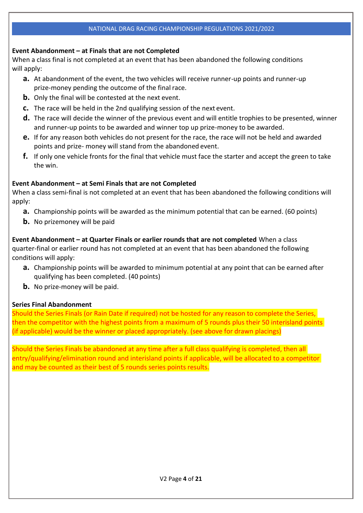# **Event Abandonment – at Finals that are not Completed**

When a class final is not completed at an event that has been abandoned the following conditions will apply:

- **a.** At abandonment of the event, the two vehicles will receive runner-up points and runner-up prize-money pending the outcome of the final race.
- **b.** Only the final will be contested at the next event.
- **c.** The race will be held in the 2nd qualifying session of the next event.
- **d.** The race will decide the winner of the previous event and will entitle trophies to be presented, winner and runner-up points to be awarded and winner top up prize-money to be awarded.
- **e.** If for any reason both vehicles do not present for the race, the race will not be held and awarded points and prize- money will stand from the abandoned event.
- **f.** If only one vehicle fronts for the final that vehicle must face the starter and accept the green to take the win.

#### **Event Abandonment – at Semi Finals that are not Completed**

When a class semi-final is not completed at an event that has been abandoned the following conditions will apply:

- **a.** Championship points will be awarded as the minimum potential that can be earned. (60 points)
- **b.** No prizemoney will be paid

**Event Abandonment – at Quarter Finals or earlier rounds that are not completed** When a class quarter-final or earlier round has not completed at an event that has been abandoned the following conditions will apply:

- **a.** Championship points will be awarded to minimum potential at any point that can be earned after qualifying has been completed. (40 points)
- **b.** No prize-money will be paid.

# **Series Final Abandonment**

Should the Series Finals (or Rain Date if required) not be hosted for any reason to complete the Series, then the competitor with the highest points from a maximum of 5 rounds plus their 50 interisland points (if applicable) would be the winner or placed appropriately. (see above for drawn placings)

Should the Series Finals be abandoned at any time after a full class qualifying is completed, then all entry/qualifying/elimination round and interisland points if applicable, will be allocated to a competitor and may be counted as their best of 5 rounds series points results.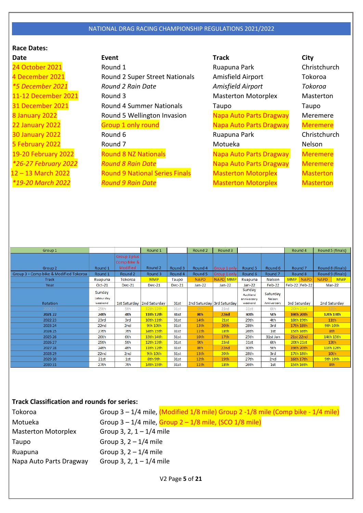# **Race Dates:**

19-20 February 2022 *\*26-27 February 2022*

24 October 2021 **Round 1** Ruapuna Park Christchurch 4 December 2021 **Round 2 Super Street Nationals** Amisfield Airport Tokoroa *\*5 December 2021 Round 2 Rain Date Amisfield Airport Tokoroa* 11-12 December 2021 **Round 3** Masterton Motorplex Masterton Motorplex 31 December 2021 **Round 4 Summer Nationals** Taupo Taupo Taupo 8 January 2022 **Round 5 Wellington Invasion** Napa Auto Parts Dragway Meremere 22 January 2022 **Group 1 only round** Napa Auto Parts Dragway Meremere 30 January 2022 **Round 6** Round 6 Ruapuna Park Christchurch 5 February 2022 **Round 7** All Round 7 All Round 7 All Round 7 All Motueka Nelson Round 8 NZ Nationals *Round 8 Rain Date* 12 – 13 March 2022 **Round 9 National Series Finals** Masterton Motorplex Masterton *\*19-20 March 2022 Round 9 Rain Date* Masterton Motorplex Masterton

**Date Event Track City** Napa Auto Parts Dragway Napa Auto Parts Dragway

**Meremere Meremere** 

| Group 1                                |            |                 | Round 1          |               | Round 2          | Round 3                   |             |                       | Round 4                   | Round 5 (finals)          |
|----------------------------------------|------------|-----------------|------------------|---------------|------------------|---------------------------|-------------|-----------------------|---------------------------|---------------------------|
|                                        |            | Group 3 plus    |                  |               |                  |                           |             |                       |                           |                           |
|                                        |            | Comp Bike &     |                  |               |                  |                           |             |                       |                           |                           |
| Group 2                                | Round 1    | Modified        | Round 2          | Round 3       | Round 4          | Group 1 only              | Round 5     | Round 6               | Round <sub>7</sub>        | Round 8 (finals)          |
| Group 3 + Comp bike & Modified Tokoroa | Round 1    | Round 2         | Round 3          | Round 4       | Round 5          | Group 1 only              | Round 6     | Round <sub>7</sub>    | Round 8                   | Round 9 (finals)          |
| <b>Track</b>                           | Ruapuna    | Tokoroa         | <b>MMP</b>       | Taupo         | <b>NAPD</b>      | NAPD MMP                  | Ruapuna     | <b>Nelson</b>         | <b>MMP</b><br><b>NAPD</b> | <b>MMP</b><br><b>NAPD</b> |
| Year                                   | $Oct-21$   | <b>Dec-21</b>   | <b>Dec-21</b>    | <b>Dec-21</b> | $Jan-22$         | Jan-22                    | $Jan-22$    | Feb-22                | Feb-22 Feb-22             | Mar-22                    |
|                                        | Sunday     |                 |                  |               |                  |                           | Sunday      |                       |                           |                           |
|                                        | Labour day |                 |                  |               |                  |                           | Auckland    | Saturday              |                           |                           |
|                                        | weekend    |                 |                  |               |                  |                           | anniversary | Nelson<br>Anniversary |                           |                           |
| Rotation                               |            | 1st Saturday    | 2nd Saturday     | 31st          |                  | 2nd Saturday 3rd Saturday | weekend     |                       | 3rd Saturday              | 2nd Saturday              |
| 2020 21                                | 25th       | 5th             | 12th 13th        | 31st          | 9th              | 23rd                      | 31st        | 6th                   | 20th 21st                 | 13 <sub>th</sub>          |
| 2021 22                                | 24th       | 4th             | <b>11th 12th</b> | <b>31st</b>   | 8th              | 22nd                      | 30th        | 5th                   | <b>19th 20th</b>          | <b>12th 13th</b>          |
| 2022 23                                | 23rd       | 3rd             | 10th 11th        | 31st          | 14th             | 21st                      | 29th        | 4th                   | 18th 19th                 | 11 <sup>th</sup>          |
| 2023 24                                | 22nd       | 2 <sub>nd</sub> | 9th 10th         | 31st          | 13 <sub>th</sub> | 20th                      | 28th        | 3rd                   | 17th 18th                 | 9th 10th                  |
| 2024 25                                | 27th       | 7th             | 14th 15th        | 31st          | 11th             | 18th                      | 26th        | 1st                   | 15th 16th                 | 8th                       |
| 2025 26                                | 26th       | 6th             | 13th 14th        | 31st          | 10th             | 17th                      | 25th        | 31st Jan              | 21st 22nd                 | 14th 15th                 |
| 2026 27                                | 25th       | 5th             | 12th 13th        | 31st          | 9th              | 23rd                      | 31st        | 6th                   | 20th 21st                 | 13th                      |
| 2027 28                                | 24th       | 4th             | 11th 12th        | 31st          | 8th              | 22nd                      | 30th        | 5th                   | 19th 20th                 | 11th 12th                 |
| 2028 29                                | 22nd       | 2 <sub>nd</sub> | 9th 10th         | 31st          | 13th             | 20th                      | 28th        | 3rd                   | 17th 18th                 | 10th                      |
| 2029 30                                | 21st       | 1st             | 8th 9th          | 31st          | 12th             | 19th                      | 27th        | 2 <sub>nd</sub>       | 16th 17th                 | 9th 10th                  |
| 2030 31                                | 27th       | 7th             | 14th 15th        | 31st          | 11th             | 18th                      | 26th        | 1st                   | 15th 16th                 | 8th                       |

#### **Track Classification and rounds for series:**

| Tokoroa                            |                                                       | Group $3 - 1/4$ mile, (Modified $1/8$ mile) Group $2 - 1/8$ mile (Comp bike - $1/4$ mile) |  |
|------------------------------------|-------------------------------------------------------|-------------------------------------------------------------------------------------------|--|
| Motueka                            |                                                       | Group $3 - 1/4$ mile, Group $2 - 1/8$ mile, (SCO $1/8$ mile)                              |  |
| <b>Masterton Motorplex</b>         | Group 3, 2, $1 - 1/4$ mile                            |                                                                                           |  |
| Taupo                              | Group 3, $2 - 1/4$ mile                               |                                                                                           |  |
| Ruapuna<br>Napa Auto Parts Dragway | Group 3, $2 - 1/4$ mile<br>Group 3, 2, $1 - 1/4$ mile |                                                                                           |  |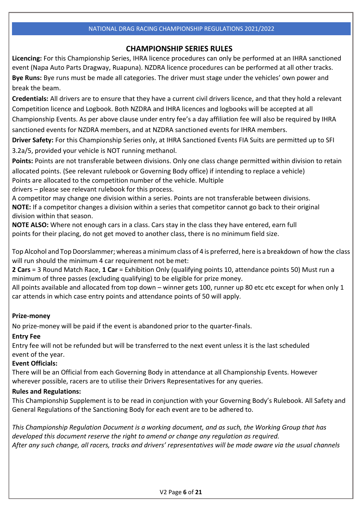# **CHAMPIONSHIP SERIES RULES**

**Licencing:** For this Championship Series, IHRA licence procedures can only be performed at an IHRA sanctioned event (Napa Auto Parts Dragway, Ruapuna). NZDRA licence procedures can be performed at all other tracks. **Bye Runs:** Bye runs must be made all categories. The driver must stage under the vehicles' own power and break the beam.

**Credentials:** All drivers are to ensure that they have a current civil drivers licence, and that they hold a relevant Competition licence and Logbook. Both NZDRA and IHRA licences and logbooks will be accepted at all Championship Events. As per above clause under entry fee's a day affiliation fee will also be required by IHRA sanctioned events for NZDRA members, and at NZDRA sanctioned events for IHRA members.

**Driver Safety:** For this Championship Series only, at IHRA Sanctioned Events FIA Suits are permitted up to SFI 3.2a/5, provided your vehicle is NOT running methanol.

**Points:** Points are not transferable between divisions. Only one class change permitted within division to retain allocated points. (See relevant rulebook or Governing Body office) if intending to replace a vehicle) Points are allocated to the competition number of the vehicle. Multiple

drivers – please see relevant rulebook for this process.

A competitor may change one division within a series. Points are not transferable between divisions. **NOTE:** If a competitor changes a division within a series that competitor cannot go back to their original division within that season.

**NOTE ALSO:** Where not enough cars in a class. Cars stay in the class they have entered, earn full points for their placing, do not get moved to another class, there is no minimum field size.

Top Alcohol and Top Doorslammer; whereas aminimum class of 4 is preferred, here is a breakdown of how the class will run should the minimum 4 car requirement not be met:

**2 Cars** = 3 Round Match Race, **1 Car** = Exhibition Only (qualifying points 10, attendance points 50) Must run a minimum of three passes (excluding qualifying) to be eligible for prize money.

All points available and allocated from top down – winner gets 100, runner up 80 etc etc except for when only 1 car attends in which case entry points and attendance points of 50 will apply.

# **Prize-money**

No prize-money will be paid if the event is abandoned prior to the quarter-finals.

# **Entry Fee**

Entry fee will not be refunded but will be transferred to the next event unless it is the last scheduled event of the year.

# **Event Officials:**

There will be an Official from each Governing Body in attendance at all Championship Events. However wherever possible, racers are to utilise their Drivers Representatives for any queries.

# **Rules and Regulations:**

This Championship Supplement is to be read in conjunction with your Governing Body's Rulebook. All Safety and General Regulations of the Sanctioning Body for each event are to be adhered to.

*This Championship Regulation Document is a working document, and as such, the Working Group that has developed this document reserve the right to amend or change any regulation as required. After any such change, all racers, tracks and drivers' representatives will be made aware via the usual channels*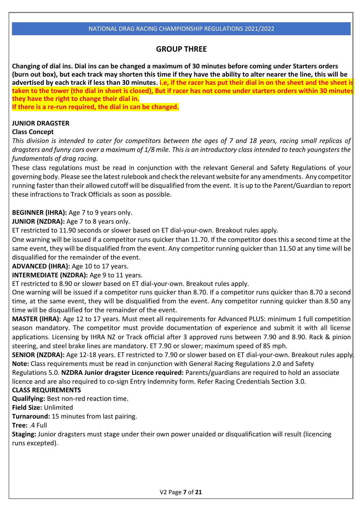# **GROUP THREE**

**Changing of dial ins. Dial ins can be changed a maximum of 30 minutes before coming under Starters orders (burn out box), but each track may shorten this time if they have the ability to alter nearer the line, this will be advertised by each track if less than 30 minutes. i.e, if the racer has put their dial in on the sheet and the sheet is taken to the tower (the dial in sheet is closed), But if racer has not come under starters orders within 30 minutes they have the right to change their dial in.**

**If there is a re-run required, the dial in can be changed.**

#### **JUNIOR DRAGSTER**

# **Class Concept**

*This division is intended to cater for competitors between the ages of 7 and 18 years, racing small replicas of dragsters and funny cars over a maximum of 1/8 mile. This is an introductory class intended to teach youngsters the fundamentals of drag racing.*

These class regulations must be read in conjunction with the relevant General and Safety Regulations of your governing body. Please see the latestrulebook and check the relevant website for any amendments. Any competitor running faster than their allowed cutoff will be disqualified from the event. It is up to the Parent/Guardian to report these infractionsto Track Officials as soon as possible.

# **BEGINNER (IHRA):** Age 7 to 9 years only.

**JUNIOR (NZDRA):** Age 7 to 8 years only.

ET restricted to 11.90 seconds or slower based on ET dial-your-own. Breakout rules apply.

One warning will be issued if a competitor runs quicker than 11.70. If the competitor does this a second time at the same event, they will be disqualified from the event. Any competitor running quicker than 11.50 at any time will be disqualified for the remainder of the event.

**ADVANCED (IHRA):** Age 10 to 17 years.

**INTERMEDIATE (NZDRA):** Age 9 to 11 years.

ET restricted to 8.90 or slower based on ET dial-your-own. Breakout rules apply.

One warning will be issued if a competitor runs quicker than 8.70. If a competitor runs quicker than 8.70 a second time, at the same event, they will be disqualified from the event. Any competitor running quicker than 8.50 any time will be disqualified for the remainder of the event.

**MASTER (IHRA)**: Age 12 to 17 years. Must meet all requirements for Advanced PLUS: minimum 1 full competition season mandatory. The competitor must provide documentation of experience and submit it with all license applications. Licensing by IHRA NZ or Track official after 3 approved runs between 7.90 and 8.90. Rack & pinion steering, and steel brake lines are mandatory. ET 7.90 or slower; maximum speed of 85 mph.

**SENIOR (NZDRA):** Age 12-18 years. ET restricted to 7.90 or slower based on ET dial-your-own. Breakout rules apply. **Note:** Class requirements must be read in conjunction with General Racing Regulations 2.0 and Safety

Regulations 5.0. **NZDRA Junior dragster Licence required:** Parents/guardians are required to hold an associate licence and are also required to co-sign Entry Indemnity form. Refer Racing Credentials Section 3.0.

# **CLASS REQUIREMENTS**

**Qualifying:** Best non-red reaction time.

**Field Size:** Unlimited

**Turnaround:** 15 minutes from last pairing.

**Tree:** .4 Full

**Staging:** Junior dragsters must stage under their own power unaided or disqualification will result (licencing runs excepted).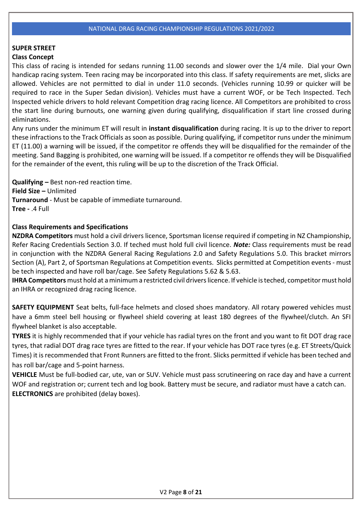# **SUPER STREET**

# **Class Concept**

This class of racing is intended for sedans running 11.00 seconds and slower over the 1/4 mile. Dial your Own handicap racing system. Teen racing may be incorporated into this class. If safety requirements are met, slicks are allowed. Vehicles are not permitted to dial in under 11.0 seconds. (Vehicles running 10.99 or quicker will be required to race in the Super Sedan division). Vehicles must have a current WOF, or be Tech Inspected. Tech Inspected vehicle drivers to hold relevant Competition drag racing licence. All Competitors are prohibited to cross the start line during burnouts, one warning given during qualifying, disqualification if start line crossed during eliminations.

Any runs under the minimum ET will result in **instant disqualification** during racing. It is up to the driver to report these infractions to the Track Officials as soon as possible. During qualifying, if competitor runs under the minimum ET (11.00) a warning will be issued, if the competitor re offends they will be disqualified for the remainder of the meeting. Sand Bagging is prohibited, one warning will be issued. If a competitor re offends they will be Disqualified for the remainder of the event, this ruling will be up to the discretion of the Track Official.

**Qualifying –** Best non-red reaction time. **Field Size –** Unlimited **Turnaround** - Must be capable of immediate turnaround. **Tree -** .4 Full

# **Class Requirements and Specifications**

**NZDRA Competitors** must hold a civil drivers licence, Sportsman license required if competing in NZ Championship, Refer Racing Credentials Section 3.0. If teched must hold full civil licence. *Note:* Class requirements must be read in conjunction with the NZDRA General Racing Regulations 2.0 and Safety Regulations 5.0. This bracket mirrors Section (A), Part 2, of Sportsman Regulations at Competition events. Slicks permitted at Competition events- must be tech inspected and have roll bar/cage. See Safety Regulations 5.62 & 5.63.

**IHRA Competitors** must hold at aminimum a restricted civil driverslicence. If vehicle isteched, competitormust hold an IHRA or recognized drag racing licence.

**SAFETY EQUIPMENT** Seat belts, full-face helmets and closed shoes mandatory. All rotary powered vehicles must have a 6mm steel bell housing or flywheel shield covering at least 180 degrees of the flywheel/clutch. An SFI flywheel blanket is also acceptable.

**TYRES** it is highly recommended that if your vehicle has radial tyres on the front and you want to fit DOT drag race tyres, that radial DOT drag race tyres are fitted to the rear. If your vehicle has DOT race tyres (e.g. ET Streets/Quick Times) it is recommended that Front Runners are fitted to the front. Slicks permitted if vehicle has been teched and has roll bar/cage and 5-point harness.

**VEHICLE** Must be full-bodied car, ute, van or SUV. Vehicle must pass scrutineering on race day and have a current WOF and registration or; current tech and log book. Battery must be secure, and radiator must have a catch can. **ELECTRONICS** are prohibited (delay boxes).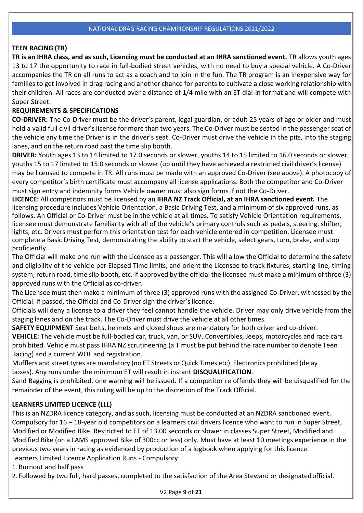# **TEEN RACING (TR)**

**TR is an IHRA class, and as such, Licencing must be conducted at an IHRA sanctioned event.** TR allows youth ages 13 to 17 the opportunity to race in full-bodied street vehicles, with no need to buy a special vehicle. A Co-Driver accompanies the TR on all runs to act as a coach and to join in the fun. The TR program is an inexpensive way for families to get involved in drag racing and another chance for parents to cultivate a close working relationship with their children. All races are conducted over a distance of 1/4 mile with an ET dial-in format and will compete with Super Street.

# **REQUIREMENTS & SPECIFICATIONS**

**CO-DRIVER:** The Co-Driver must be the driver's parent, legal guardian, or adult 25 years of age or older and must hold a valid full civil driver's license for more than two years. The Co-Driver must be seated in the passenger seat of the vehicle any time the Driver is in the driver's seat. Co-Driver must drive the vehicle in the pits, into the staging lanes, and on the return road past the time slip booth.

**DRIVER:** Youth ages 13 to 14 limited to 17.0 seconds or slower, youths 14 to 15 limited to 16.0 seconds or slower, youths 15 to 17 limited to 15.0 seconds or slower (up until they have achieved a restricted civil driver's license) may be licensed to compete in TR. All runs must be made with an approved Co-Driver (see above). A photocopy of every competitor's birth certificate must accompany all license applications. Both the competitor and Co-Driver must sign entry and indemnity forms Vehicle owner must also sign forms if not the Co-Driver.

**LICENCE:** All competitors must be licensed by an **IHRA NZ Track Official, at an IHRA sanctioned event.** The licensing procedure includes Vehicle Orientation, a Basic Driving Test, and a minimum of six approved runs, as follows. An Official or Co-Driver must be in the vehicle at all times. To satisfy Vehicle Orientation requirements, licensee must demonstrate familiarity with all of the vehicle's primary controls such as pedals, steering, shifter, lights, etc. Drivers must perform this orientation test for each vehicle entered in competition. Licensee must complete a Basic Driving Test, demonstrating the ability to start the vehicle, select gears, turn, brake, and stop proficiently.

The Official will make one run with the Licensee as a passenger. This will allow the Official to determine the safety and eligibility of the vehicle per Elapsed Time limits, and orient the Licensee to track fixtures, starting line, timing system, return road, time slip booth, etc. If approved by the official the licensee must make a minimum of three (3) approved runs with the Official as co-driver.

The Licensee must then make a minimum of three (3) approved runs with the assigned Co-Driver, witnessed by the Official. If passed, the Official and Co-Driver sign the driver's licence.

Officials will deny a license to a driver they feel cannot handle the vehicle. Driver may only drive vehicle from the staging lanes and on the track. The Co-Driver must drive the vehicle at all othertimes.

**SAFETY EQUIPMENT** Seat belts, helmets and closed shoes are mandatory for both driver and co-driver. **VEHICLE:** The vehicle must be full-bodied car, truck, van, or SUV. Convertibles, Jeeps, motorcycles and race cars prohibited. Vehicle must pass IHRA NZ scrutineering (a T must be put behind the race number to denote Teen Racing) and a current WOF and registration.

Mufflers and street tyres are mandatory (no ET Streets or Quick Times etc). Electronics prohibited (delay boxes). Any runs under the minimum ET will result in instant **DISQUALIFICATION**.

Sand Bagging is prohibited, one warning will be issued. If a competitor re offends they will be disqualified for the remainder of the event, this ruling will be up to the discretion of the Track Official.

# **LEARNERS LIMITED LICENCE (LLL)**

This is an NZDRA licence category, and as such, licensing must be conducted at an NZDRA sanctioned event. Compulsory for 16 – 18-year old competitors on a learners civil drivers licence who want to run in Super Street, Modified or Modified Bike. Restricted to ET of 13.00 seconds or slower in classes Super Street, Modified and Modified Bike (on a LAMS approved Bike of 300cc or less) only. Must have at least 10 meetings experience in the previous two years in racing as evidenced by production of a logbook when applying for this licence. Learners Limited Licence Application Runs - Compulsory

1. Burnout and half pass

2. Followed by two full, hard passes, completed to the satisfaction of the Area Steward or designatedofficial.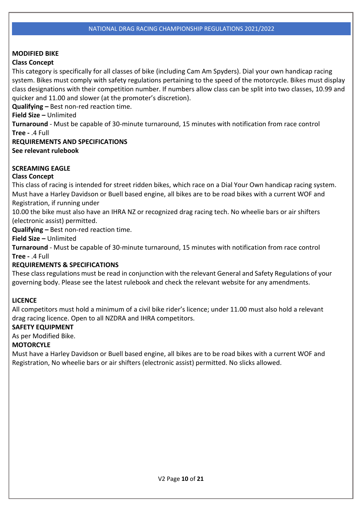# **MODIFIED BIKE**

# **Class Concept**

This category is specifically for all classes of bike (including Cam Am Spyders). Dial your own handicap racing system. Bikes must comply with safety regulations pertaining to the speed of the motorcycle. Bikes must display class designations with their competition number. If numbers allow class can be split into two classes, 10.99 and quicker and 11.00 and slower (at the promoter's discretion).

**Qualifying –** Best non-red reaction time.

**Field Size –** Unlimited

**Turnaround** - Must be capable of 30-minute turnaround, 15 minutes with notification from race control **Tree -** .4 Full

# **REQUIREMENTS AND SPECIFICATIONS**

**See relevant rulebook**

# **SCREAMING EAGLE**

# **Class Concept**

This class of racing is intended for street ridden bikes, which race on a Dial Your Own handicap racing system. Must have a Harley Davidson or Buell based engine, all bikes are to be road bikes with a current WOF and Registration, if running under

10.00 the bike must also have an IHRA NZ or recognized drag racing tech. No wheelie bars or air shifters (electronic assist) permitted.

**Qualifying –** Best non-red reaction time.

**Field Size –** Unlimited

**Turnaround** - Must be capable of 30-minute turnaround, 15 minutes with notification from race control **Tree -** .4 Full

# **REQUIREMENTS & SPECIFICATIONS**

These classregulations must be read in conjunction with the relevant General and Safety Regulations of your governing body. Please see the latest rulebook and check the relevant website for any amendments.

# **LICENCE**

All competitors must hold a minimum of a civil bike rider's licence; under 11.00 must also hold a relevant drag racing licence. Open to all NZDRA and IHRA competitors.

# **SAFETY EQUIPMENT**

As per Modified Bike.

# **MOTORCYLE**

Must have a Harley Davidson or Buell based engine, all bikes are to be road bikes with a current WOF and Registration, No wheelie bars or air shifters (electronic assist) permitted. No slicks allowed.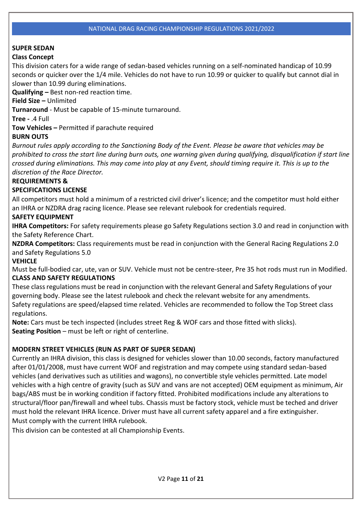# **SUPER SEDAN**

# **Class Concept**

This division caters for a wide range of sedan-based vehicles running on a self-nominated handicap of 10.99 seconds or quicker over the 1/4 mile. Vehicles do not have to run 10.99 or quicker to qualify but cannot dial in slower than 10.99 during eliminations.

**Qualifying –** Best non-red reaction time.

**Field Size –** Unlimited

**Turnaround** - Must be capable of 15-minute turnaround.

**Tree -** .4 Full

**Tow Vehicles –** Permitted if parachute required

# **BURN OUTS**

*Burnout rules apply according to the Sanctioning Body of the Event. Please be aware that vehicles may be prohibited to cross the start line during burn outs, one warning given during qualifying, disqualification if start line crossed during eliminations. This may come into play at any Event, should timing require it. This is up to the discretion of the Race Director.*

# **REQUIREMENTS &**

# **SPECIFICATIONS LICENSE**

All competitors must hold a minimum of a restricted civil driver's licence; and the competitor must hold either an IHRA or NZDRA drag racing licence. Please see relevant rulebook for credentials required.

# **SAFETY EQUIPMENT**

**IHRA Competitors:** For safety requirements please go Safety Regulations section 3.0 and read in conjunction with the Safety Reference Chart.

**NZDRA Competitors:** Class requirements must be read in conjunction with the General Racing Regulations 2.0 and Safety Regulations 5.0

# **VEHICLE**

Must be full-bodied car, ute, van or SUV. Vehicle must not be centre-steer, Pre 35 hot rods must run in Modified. **CLASS AND SAFETY REGULATIONS**

These classregulations must be read in conjunction with the relevant General and Safety Regulations of your governing body. Please see the latest rulebook and check the relevant website for any amendments. Safety regulations are speed/elapsed time related. Vehicles are recommended to follow the Top Street class regulations.

**Note:** Cars must be tech inspected (includes street Reg & WOF cars and those fitted with slicks). **Seating Position** – must be left or right of centerline.

# **MODERN STREET VEHICLES (RUN AS PART OF SUPER SEDAN)**

Currently an IHRA division, this class is designed for vehicles slower than 10.00 seconds, factory manufactured after 01/01/2008, must have current WOF and registration and may compete using standard sedan-based vehicles (and derivatives such as utilities and wagons), no convertible style vehicles permitted. Late model vehicles with a high centre of gravity (such as SUV and vans are not accepted) OEM equipment as minimum, Air bags/ABS must be in working condition if factory fitted. Prohibited modifications include any alterations to structural/floor pan/firewall and wheel tubs. Chassis must be factory stock, vehicle must be teched and driver must hold the relevant IHRA licence. Driver must have all current safety apparel and a fire extinguisher. Must comply with the current IHRA rulebook.

This division can be contested at all Championship Events.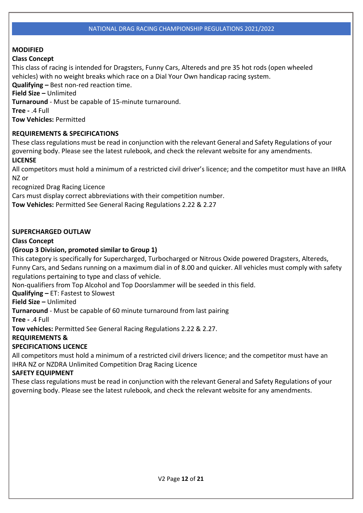# **MODIFIED**

# **Class Concept**

This class of racing is intended for Dragsters, Funny Cars, Altereds and pre 35 hot rods (open wheeled vehicles) with no weight breaks which race on a Dial Your Own handicap racing system.

**Qualifying –** Best non-red reaction time.

**Field Size –** Unlimited

**Turnaround** - Must be capable of 15-minute turnaround.

**Tree -** .4 Full

**Tow Vehicles:** Permitted

# **REQUIREMENTS & SPECIFICATIONS**

These classregulations must be read in conjunction with the relevant General and Safety Regulations of your governing body. Please see the latest rulebook, and check the relevant website for any amendments. **LICENSE**

All competitors must hold a minimum of a restricted civil driver's licence; and the competitor must have an IHRA NZ or

recognized Drag Racing Licence

Cars must display correct abbreviations with their competition number.

**Tow Vehicles:** Permitted See General Racing Regulations 2.22 & 2.27

# **SUPERCHARGED OUTLAW**

# **Class Concept**

# **(Group 3 Division, promoted similar to Group 1)**

This category is specifically for Supercharged, Turbocharged or Nitrous Oxide powered Dragsters, Altereds, Funny Cars, and Sedans running on a maximum dial in of 8.00 and quicker. All vehicles must comply with safety regulations pertaining to type and class of vehicle.

Non-qualifiers from Top Alcohol and Top Doorslammer will be seeded in this field.

**Qualifying –** ET: Fastest to Slowest

**Field Size –** Unlimited

**Turnaround** - Must be capable of 60 minute turnaround from last pairing

**Tree -** .4 Full

**Tow vehicles:** Permitted See General Racing Regulations 2.22 & 2.27.

# **REQUIREMENTS &**

# **SPECIFICATIONS LICENCE**

All competitors must hold a minimum of a restricted civil drivers licence; and the competitor must have an IHRA NZ or NZDRA Unlimited Competition Drag Racing Licence

# **SAFETY EQUIPMENT**

These classregulations must be read in conjunction with the relevant General and Safety Regulations of your governing body. Please see the latest rulebook, and check the relevant website for any amendments.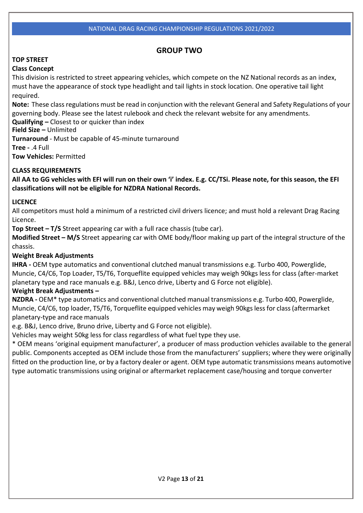# **GROUP TWO**

# **TOP STREET**

# **Class Concept**

This division is restricted to street appearing vehicles, which compete on the NZ National records as an index, must have the appearance of stock type headlight and tail lights in stock location. One operative tail light required.

**Note:** These classregulations must be read in conjunction with the relevant General and Safety Regulations of your governing body. Please see the latest rulebook and check the relevant website for any amendments.

**Qualifying –** Closest to or quicker than index

**Field Size –** Unlimited

**Turnaround** - Must be capable of 45-minute turnaround

**Tree -** .4 Full

**Tow Vehicles:** Permitted

# **CLASS REQUIREMENTS**

**All AA to GG vehicles with EFI will run on their own 'i' index. E.g. CC/TSi. Please note, for this season, the EFI classifications will not be eligible for NZDRA National Records.**

# **LICENCE**

All competitors must hold a minimum of a restricted civil drivers licence; and must hold a relevant Drag Racing Licence.

**Top Street – T/S** Street appearing car with a full race chassis (tube car).

**Modified Street – M/S** Street appearing car with OME body/floor making up part of the integral structure of the chassis.

# **Weight Break Adjustments**

**IHRA -** OEM type automatics and conventional clutched manual transmissions e.g. Turbo 400, Powerglide, Muncie, C4/C6, Top Loader, T5/T6, Torqueflite equipped vehicles may weigh 90kgs less for class (after-market planetary type and race manuals e.g. B&J, Lenco drive, Liberty and G Force not eligible).

# **Weight Break Adjustments –**

**NZDRA -** OEM\* type automatics and conventional clutched manual transmissions e.g. Turbo 400, Powerglide, Muncie, C4/C6, top loader, T5/T6, Torqueflite equipped vehicles may weigh 90kgs lessfor class(aftermarket planetary-type and race manuals

e.g. B&J, Lenco drive, Bruno drive, Liberty and G Force not eligible).

Vehicles may weight 50kg less for class regardless of what fuel type they use.

\* OEM means 'original equipment manufacturer', a producer of mass production vehicles available to the general public. Components accepted as OEM include those from the manufacturers' suppliers; where they were originally fitted on the production line, or by a factory dealer or agent. OEM type automatic transmissions means automotive type automatic transmissions using original or aftermarket replacement case/housing and torque converter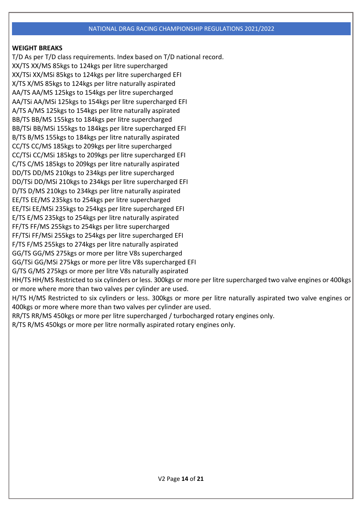# **WEIGHT BREAKS**

T/D As per T/D class requirements. Index based on T/D national record. XX/TS XX/MS 85kgs to 124kgs per litre supercharged XX/TSi XX/MSi 85kgs to 124kgs per litre supercharged EFI X/TS X/MS 85kgs to 124kgs per litre naturally aspirated AA/TS AA/MS 125kgs to 154kgs per litre supercharged AA/TSi AA/MSi 125kgs to 154kgs per litre supercharged EFI A/TS A/MS 125kgs to 154kgs per litre naturally aspirated BB/TS BB/MS 155kgs to 184kgs per litre supercharged BB/TSi BB/MSi 155kgs to 184kgs per litre supercharged EFI B/TS B/MS 155kgs to 184kgs per litre naturally aspirated CC/TS CC/MS 185kgs to 209kgs per litre supercharged CC/TSi CC/MSi 185kgs to 209kgs per litre supercharged EFI C/TS C/MS 185kgs to 209kgs per litre naturally aspirated DD/TS DD/MS 210kgs to 234kgs per litre supercharged DD/TSi DD/MSi 210kgs to 234kgs per litre supercharged EFI D/TS D/MS 210kgs to 234kgs per litre naturally aspirated EE/TS EE/MS 235kgs to 254kgs per litre supercharged EE/TSi EE/MSi 235kgs to 254kgs per litre supercharged EFI E/TS E/MS 235kgs to 254kgs per litre naturally aspirated FF/TS FF/MS 255kgs to 254kgs per litre supercharged FF/TSi FF/MSi 255kgs to 254kgs per litre supercharged EFI F/TS F/MS 255kgs to 274kgs per litre naturally aspirated GG/TS GG/MS 275kgs or more per litre V8s supercharged GG/TSi GG/MSi 275kgs or more per litre V8s supercharged EFI G/TS G/MS 275kgs or more per litre V8s naturally aspirated HH/TS HH/MS Restricted to six cylinders or less. 300kgs or more per litre supercharged two valve engines or 400kgs or more where more than two valves per cylinder are used. H/TS H/MS Restricted to six cylinders or less. 300kgs or more per litre naturally aspirated two valve engines or 400kgs or more where more than two valves per cylinder are used. RR/TS RR/MS 450kgs or more per litre supercharged / turbocharged rotary engines only. R/TS R/MS 450kgs or more per litre normally aspirated rotary engines only.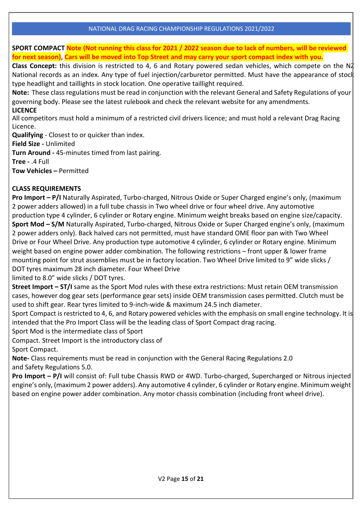**SPORT COMPACT Note (Not running this class for 2021 / 2022 season due to lack of numbers, will be reviewed for next season), Cars will be moved into Top Street and may carry your sport compact index with you.**

**Class Concept:** this division is restricted to 4, 6 and Rotary powered sedan vehicles, which compete on the NZ National records as an index. Any type of fuel injection/carburetor permitted. Must have the appearance of stock type headlight and taillights in stock location. One operative taillight required.

**Note:** These classregulations must be read in conjunction with the relevant General and Safety Regulations of your governing body. Please see the latest rulebook and check the relevant website for any amendments. **LICENCE**

All competitors must hold a minimum of a restricted civil drivers licence; and must hold a relevant Drag Racing Licence.

**Qualifying** - Closest to or quicker than index.

**Field Size -** Unlimited

**Turn Around -** 45-minutes timed from last pairing.

**Tree -** .4 Full

**Tow Vehicles –** Permitted

# **CLASS REQUIREMENTS**

**Pro Import – P/I** Naturally Aspirated, Turbo-charged, Nitrous Oxide or Super Charged engine's only, (maximum 2 power adders allowed) in a full tube chassis in Two wheel drive or four wheel drive. Any automotive production type 4 cylinder, 6 cylinder or Rotary engine. Minimum weight breaks based on engine size/capacity. **Sport Mod – S/M** Naturally Aspirated, Turbo-charged, Nitrous Oxide or Super Charged engine's only, (maximum 2 power adders only). Back halved cars not permitted, must have standard OME floor pan with Two Wheel Drive or Four Wheel Drive. Any production type automotive 4 cylinder, 6 cylinder or Rotary engine. Minimum weight based on engine power adder combination. The following restrictions – front upper & lower frame mounting point for strut assemblies must be in factory location. Two Wheel Drive limited to 9" wide slicks / DOT tyres maximum 28 inch diameter. Four Wheel Drive

limited to 8.0" wide slicks / DOT tyres.

**Street Import – ST/I** same as the Sport Mod rules with these extra restrictions: Must retain OEM transmission cases, however dog gear sets (performance gear sets) inside OEM transmission cases permitted. Clutch must be used to shift gear. Rear tyres limited to 9-inch-wide & maximum 24.5 inch diameter.

Sport Compact is restricted to 4, 6, and Rotary powered vehicles with the emphasis on small engine technology. It is intended that the Pro Import Class will be the leading class of Sport Compact drag racing.

Sport Mod is the intermediate class of Sport

Compact. Street Import is the introductory class of

Sport Compact.

**Note-** Class requirements must be read in conjunction with the General Racing Regulations 2.0 and Safety Regulations 5.0.

**Pro Import – P/I** will consist of: Full tube Chassis RWD or 4WD. Turbo-charged, Supercharged or Nitrous injected engine's only, (maximum 2 power adders). Any automotive 4 cylinder, 6 cylinder or Rotary engine. Minimum weight based on engine power adder combination. Any motor chassis combination (including front wheel drive).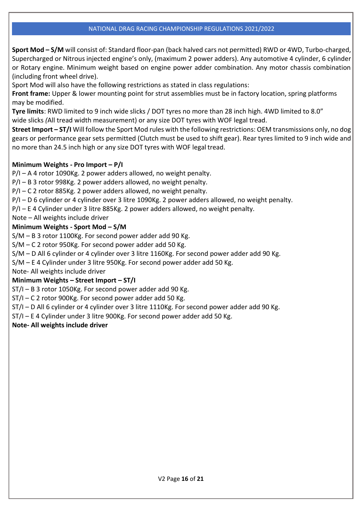**Sport Mod – S/M** will consist of: Standard floor-pan (back halved cars not permitted) RWD or 4WD, Turbo-charged, Supercharged or Nitrous injected engine's only, (maximum 2 power adders). Any automotive 4 cylinder, 6 cylinder or Rotary engine. Minimum weight based on engine power adder combination. Any motor chassis combination (including front wheel drive).

Sport Mod will also have the following restrictions as stated in class regulations:

**Front frame:** Upper & lower mounting point for strut assemblies must be in factory location, spring platforms may be modified.

**Tyre limits**: RWD limited to 9 inch wide slicks / DOT tyres no more than 28 inch high. 4WD limited to 8.0" wide slicks *(*All tread width measurement) or any size DOT tyres with WOF legal tread.

**Street Import – ST/I** Will follow the Sport Mod rules with the following restrictions: OEM transmissions only, no dog gears or performance gear sets permitted (Clutch must be used to shift gear). Rear tyres limited to 9 inch wide and no more than 24.5 inch high or any size DOT tyres with WOF legal tread.

# **Minimum Weights - Pro Import – P/I**

P/I – A 4 rotor 1090Kg. 2 power adders allowed, no weight penalty.

P/I – B 3 rotor 998Kg. 2 power adders allowed, no weight penalty.

P/I – C 2 rotor 885Kg. 2 power adders allowed, no weight penalty.

P/I – D 6 cylinder or 4 cylinder over 3 litre 1090Kg. 2 power adders allowed, no weight penalty.

P/I – E 4 Cylinder under 3 litre 885Kg. 2 power adders allowed, no weight penalty.

Note – All weights include driver

# **Minimum Weights - Sport Mod – S/M**

S/M – B 3 rotor 1100Kg. For second power adder add 90 Kg.

S/M – C 2 rotor 950Kg. For second power adder add 50 Kg.

S/M – D All 6 cylinder or 4 cylinder over 3 litre 1160Kg. For second power adder add 90 Kg.

S/M – E 4 Cylinder under 3 litre 950Kg. For second power adder add 50 Kg.

Note- All weights include driver

# **Minimum Weights – Street Import – ST/I**

ST/I – B 3 rotor 1050Kg. For second power adder add 90 Kg.

ST/I – C 2 rotor 900Kg. For second power adder add 50 Kg.

ST/I – D All 6 cylinder or 4 cylinder over 3 litre 1110Kg. For second power adder add 90 Kg.

ST/I – E 4 Cylinder under 3 litre 900Kg. For second power adder add 50 Kg.

# **Note- All weights include driver**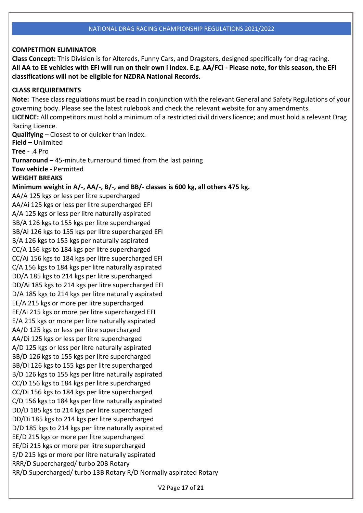#### **COMPETITION ELIMINATOR**

**Class Concept:** This Division is for Altereds, Funny Cars, and Dragsters, designed specifically for drag racing. **All AA to EE vehicles with EFI will run on their own i index. E.g. AA/FCi - Please note, for this season, the EFI classifications will not be eligible for NZDRA National Records.**

#### **CLASS REQUIREMENTS**

**Note:** These classregulations must be read in conjunction with the relevant General and Safety Regulations of your governing body. Please see the latest rulebook and check the relevant website for any amendments. **LICENCE:** All competitors must hold a minimum of a restricted civil drivers licence; and must hold a relevant Drag Racing Licence. **Qualifying** – Closest to or quicker than index. **Field –** Unlimited **Tree -** .4 Pro **Turnaround –** 45-minute turnaround timed from the last pairing **Tow vehicle -** Permitted **WEIGHT BREAKS Minimum weight in A/-, AA/-, B/-, and BB/- classes is 600 kg, all others 475 kg.** AA/A 125 kgs or less per litre supercharged AA/Ai 125 kgs or less per litre supercharged EFI A/A 125 kgs or less per litre naturally aspirated BB/A 126 kgs to 155 kgs per litre supercharged BB/Ai 126 kgs to 155 kgs per litre supercharged EFI B/A 126 kgs to 155 kgs per naturally aspirated CC/A 156 kgs to 184 kgs per litre supercharged CC/Ai 156 kgs to 184 kgs per litre supercharged EFI C/A 156 kgs to 184 kgs per litre naturally aspirated DD/A 185 kgs to 214 kgs per litre supercharged DD/Ai 185 kgs to 214 kgs per litre supercharged EFI D/A 185 kgs to 214 kgs per litre naturally aspirated EE/A 215 kgs or more per litre supercharged EE/Ai 215 kgs or more per litre supercharged EFI E/A 215 kgs or more per litre naturally aspirated AA/D 125 kgs or less per litre supercharged AA/Di 125 kgs or less per litre supercharged A/D 125 kgs or less per litre naturally aspirated BB/D 126 kgs to 155 kgs per litre supercharged BB/Di 126 kgs to 155 kgs per litre supercharged B/D 126 kgs to 155 kgs per litre naturally aspirated CC/D 156 kgs to 184 kgs per litre supercharged CC/Di 156 kgs to 184 kgs per litre supercharged C/D 156 kgs to 184 kgs per litre naturally aspirated DD/D 185 kgs to 214 kgs per litre supercharged DD/Di 185 kgs to 214 kgs per litre supercharged D/D 185 kgs to 214 kgs per litre naturally aspirated EE/D 215 kgs or more per litre supercharged EE/Di 215 kgs or more per litre supercharged E/D 215 kgs or more per litre naturally aspirated RRR/D Supercharged/ turbo 20B Rotary RR/D Supercharged/ turbo 13B Rotary R/D Normally aspirated Rotary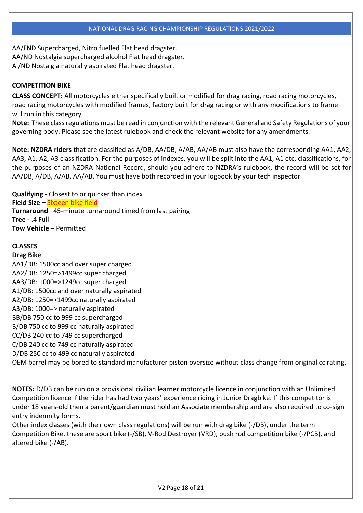AA/FND Supercharged, Nitro fuelled Flat head dragster. AA/ND Nostalgia supercharged alcohol Flat head dragster. A /ND Nostalgia naturally aspirated Flat head dragster.

# **COMPETITION BIKE**

**CLASS CONCEPT:** All motorcycles either specifically built or modified for drag racing, road racing motorcycles, road racing motorcycles with modified frames, factory built for drag racing or with any modifications to frame will run in this category.

**Note:** These classregulations must be read in conjunction with the relevant General and Safety Regulations of your governing body. Please see the latest rulebook and check the relevant website for any amendments.

**Note: NZDRA riders** that are classified as A/DB, AA/DB, A/AB, AA/AB must also have the corresponding AA1, AA2, AA3, A1, A2, A3 classification. For the purposes of indexes, you will be split into the AA1, A1 etc. classifications, for the purposes of an NZDRA National Record, should you adhere to NZDRA's rulebook, the record will be set for AA/DB, A/DB, A/AB, AA/AB. You must have both recorded in your logbook by your tech inspector.

**Qualifying -** Closest to or quicker than index **Field Size –** Sixteen bike field **Turnaround** –45-minute turnaround timed from last pairing **Tree -** .4 Full **Tow Vehicle –** Permitted

# **CLASSES**

# **Drag Bike**

AA1/DB: 1500cc and over super charged AA2/DB: 1250=>1499cc super charged AA3/DB: 1000=>1249cc super charged A1/DB: 1500cc and over naturally aspirated A2/DB: 1250=>1499cc naturally aspirated A3/DB: 1000=> naturally aspirated BB/DB 750 cc to 999 cc supercharged B/DB 750 cc to 999 cc naturally aspirated CC/DB 240 cc to 749 cc supercharged C/DB 240 cc to 749 cc naturally aspirated D/DB 250 cc to 499 cc naturally aspirated OEM barrel may be bored to standard manufacturer piston oversize without class change from original cc rating.

**NOTES:** D/DB can be run on a provisional civilian learner motorcycle licence in conjunction with an Unlimited Competition licence if the rider has had two years' experience riding in Junior Dragbike. If this competitor is under 18 years-old then a parent/guardian must hold an Associate membership and are also required to co-sign entry indemnity forms.

Other index classes (with their own class regulations) will be run with drag bike (-/DB), under the term Competition Bike. these are sport bike (-/SB), V-Rod Destroyer (VRD), push rod competition bike (-/PCB), and altered bike (-/AB).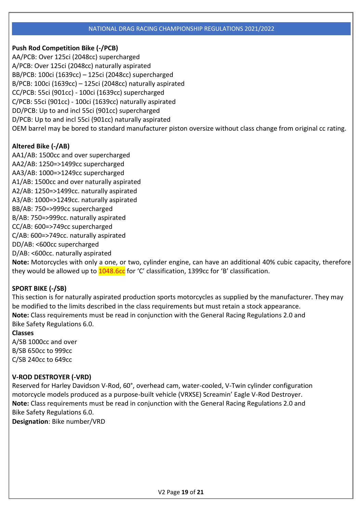# **Push Rod Competition Bike (-/PCB)**

AA/PCB: Over 125ci (2048cc) supercharged A/PCB: Over 125ci (2048cc) naturally aspirated BB/PCB: 100ci (1639cc) – 125ci (2048cc) supercharged B/PCB: 100ci (1639cc) – 125ci (2048cc) naturally aspirated CC/PCB: 55ci (901cc) - 100ci (1639cc) supercharged C/PCB: 55ci (901cc) - 100ci (1639cc) naturally aspirated DD/PCB: Up to and incl 55ci (901cc) supercharged D/PCB: Up to and incl 55ci (901cc) naturally aspirated OEM barrel may be bored to standard manufacturer piston oversize without class change from original cc rating.

# **Altered Bike (-/AB)**

AA1/AB: 1500cc and over supercharged AA2/AB: 1250=>1499cc supercharged AA3/AB: 1000=>1249cc supercharged A1/AB: 1500cc and over naturally aspirated A2/AB: 1250=>1499cc. naturally aspirated A3/AB: 1000=>1249cc. naturally aspirated BB/AB: 750=>999cc supercharged B/AB: 750=>999cc. naturally aspirated CC/AB: 600=>749cc supercharged C/AB: 600=>749cc. naturally aspirated DD/AB: <600cc supercharged D/AB: <600cc. naturally aspirated

**Note:** Motorcycles with only a one, or two, cylinder engine, can have an additional 40% cubic capacity, therefore they would be allowed up to  $1048.6c$  for 'C' classification, 1399cc for 'B' classification.

# **SPORT BIKE (-/SB)**

This section is for naturally aspirated production sports motorcycles as supplied by the manufacturer. They may be modified to the limits described in the class requirements but must retain a stock appearance. **Note:** Class requirements must be read in conjunction with the General Racing Regulations 2.0 and Bike Safety Regulations 6.0.

# **Classes**

A/SB 1000cc and over B/SB 650cc to 999cc C/SB 240cc to 649cc

# **V-ROD DESTROYER (-VRD)**

Reserved for Harley Davidson V-Rod, 60°, overhead cam, water-cooled, V-Twin cylinder configuration motorcycle models produced as a purpose-built vehicle (VRXSE) Screamin' Eagle V-Rod Destroyer. **Note:** Class requirements must be read in conjunction with the General Racing Regulations 2.0 and Bike Safety Regulations 6.0.

**Designation**: Bike number/VRD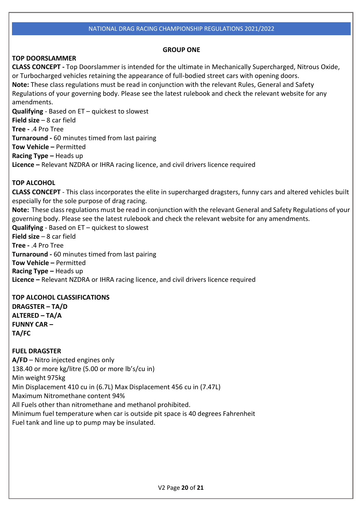#### **GROUP ONE**

# **TOP DOORSLAMMER**

**CLASS CONCEPT -** Top Doorslammer is intended for the ultimate in Mechanically Supercharged, Nitrous Oxide, or Turbocharged vehicles retaining the appearance of full-bodied street cars with opening doors. **Note:** These class regulations must be read in conjunction with the relevant Rules, General and Safety Regulations of your governing body. Please see the latest rulebook and check the relevant website for any amendments. **Qualifying** - Based on ET – quickest to slowest **Field size** – 8 car field **Tree -** .4 Pro Tree **Turnaround -** 60 minutes timed from last pairing **Tow Vehicle –** Permitted **Racing Type –** Heads up **Licence –** Relevant NZDRA or IHRA racing licence, and civil drivers licence required

# **TOP ALCOHOL**

**CLASS CONCEPT** - This class incorporates the elite in supercharged dragsters, funny cars and altered vehicles built especially for the sole purpose of drag racing. **Note:** These classregulations must be read in conjunction with the relevant General and Safety Regulations of your governing body. Please see the latest rulebook and check the relevant website for any amendments. **Qualifying** - Based on ET – quickest to slowest **Field size** – 8 car field **Tree -** .4 Pro Tree **Turnaround -** 60 minutes timed from last pairing **Tow Vehicle –** Permitted **Racing Type –** Heads up **Licence –** Relevant NZDRA or IHRA racing licence, and civil drivers licence required

# **TOP ALCOHOL CLASSIFICATIONS**

**DRAGSTER – TA/D ALTERED – TA/A FUNNY CAR – TA/FC**

**FUEL DRAGSTER A/FD** – Nitro injected engines only 138.40 or more kg/litre (5.00 or more lb's/cu in) Min weight 975kg Min Displacement 410 cu in (6.7L) Max Displacement 456 cu in (7.47L) Maximum Nitromethane content 94% All Fuels other than nitromethane and methanol prohibited. Minimum fuel temperature when car is outside pit space is 40 degrees Fahrenheit Fuel tank and line up to pump may be insulated.